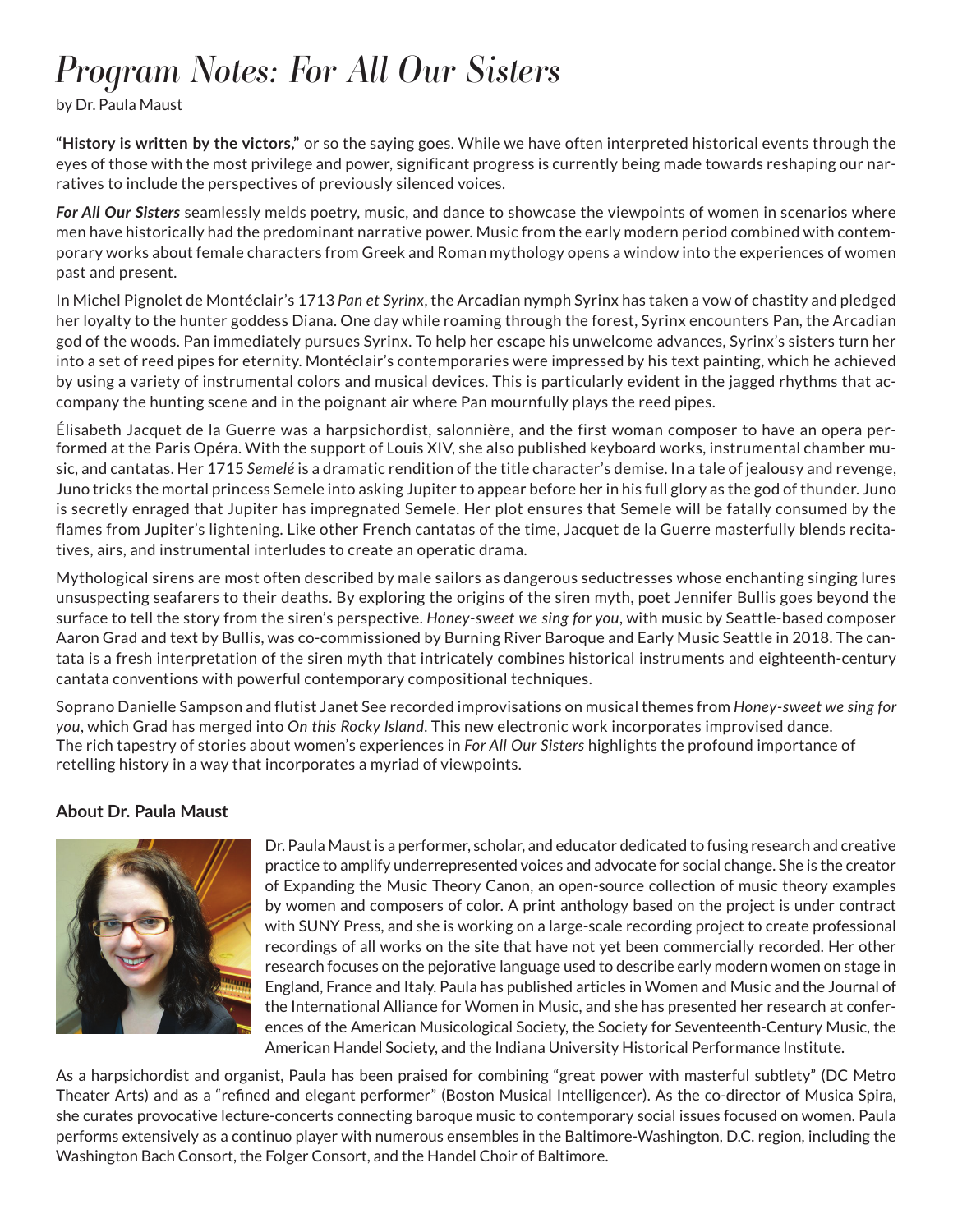## *Program Notes: For All Our Sisters*

by Dr. Paula Maust

**"History is written by the victors,"** or so the saying goes. While we have often interpreted historical events through the eyes of those with the most privilege and power, significant progress is currently being made towards reshaping our narratives to include the perspectives of previously silenced voices.

*For All Our Sisters* seamlessly melds poetry, music, and dance to showcase the viewpoints of women in scenarios where men have historically had the predominant narrative power. Music from the early modern period combined with contemporary works about female characters from Greek and Roman mythology opens a window into the experiences of women past and present.

In Michel Pignolet de Montéclair's 1713 *Pan et Syrinx*, the Arcadian nymph Syrinx has taken a vow of chastity and pledged her loyalty to the hunter goddess Diana. One day while roaming through the forest, Syrinx encounters Pan, the Arcadian god of the woods. Pan immediately pursues Syrinx. To help her escape his unwelcome advances, Syrinx's sisters turn her into a set of reed pipes for eternity. Montéclair's contemporaries were impressed by his text painting, which he achieved by using a variety of instrumental colors and musical devices. This is particularly evident in the jagged rhythms that accompany the hunting scene and in the poignant air where Pan mournfully plays the reed pipes.

Élisabeth Jacquet de la Guerre was a harpsichordist, salonnière, and the first woman composer to have an opera performed at the Paris Opéra. With the support of Louis XIV, she also published keyboard works, instrumental chamber music, and cantatas. Her 1715 *Semelé* is a dramatic rendition of the title character's demise. In a tale of jealousy and revenge, Juno tricks the mortal princess Semele into asking Jupiter to appear before her in his full glory as the god of thunder. Juno is secretly enraged that Jupiter has impregnated Semele. Her plot ensures that Semele will be fatally consumed by the flames from Jupiter's lightening. Like other French cantatas of the time, Jacquet de la Guerre masterfully blends recitatives, airs, and instrumental interludes to create an operatic drama.

Mythological sirens are most often described by male sailors as dangerous seductresses whose enchanting singing lures unsuspecting seafarers to their deaths. By exploring the origins of the siren myth, poet Jennifer Bullis goes beyond the surface to tell the story from the siren's perspective. *Honey-sweet we sing for you*, with music by Seattle-based composer Aaron Grad and text by Bullis, was co-commissioned by Burning River Baroque and Early Music Seattle in 2018. The cantata is a fresh interpretation of the siren myth that intricately combines historical instruments and eighteenth-century cantata conventions with powerful contemporary compositional techniques.

Soprano Danielle Sampson and flutist Janet See recorded improvisations on musical themes from *Honey-sweet we sing for you*, which Grad has merged into *On this Rocky Island*. This new electronic work incorporates improvised dance. The rich tapestry of stories about women's experiences in *For All Our Sisters* highlights the profound importance of retelling history in a way that incorporates a myriad of viewpoints.

## **About Dr. Paula Maust**



Dr. Paula Maust is a performer, scholar, and educator dedicated to fusing research and creative practice to amplify underrepresented voices and advocate for social change. She is the creator of Expanding the Music Theory Canon, an open-source collection of music theory examples by women and composers of color. A print anthology based on the project is under contract with SUNY Press, and she is working on a large-scale recording project to create professional recordings of all works on the site that have not yet been commercially recorded. Her other research focuses on the pejorative language used to describe early modern women on stage in England, France and Italy. Paula has published articles in Women and Music and the Journal of the International Alliance for Women in Music, and she has presented her research at conferences of the American Musicological Society, the Society for Seventeenth-Century Music, the American Handel Society, and the Indiana University Historical Performance Institute.

As a harpsichordist and organist, Paula has been praised for combining "great power with masterful subtlety" (DC Metro Theater Arts) and as a "refined and elegant performer" (Boston Musical Intelligencer). As the co-director of Musica Spira, she curates provocative lecture-concerts connecting baroque music to contemporary social issues focused on women. Paula performs extensively as a continuo player with numerous ensembles in the Baltimore-Washington, D.C. region, including the Washington Bach Consort, the Folger Consort, and the Handel Choir of Baltimore.